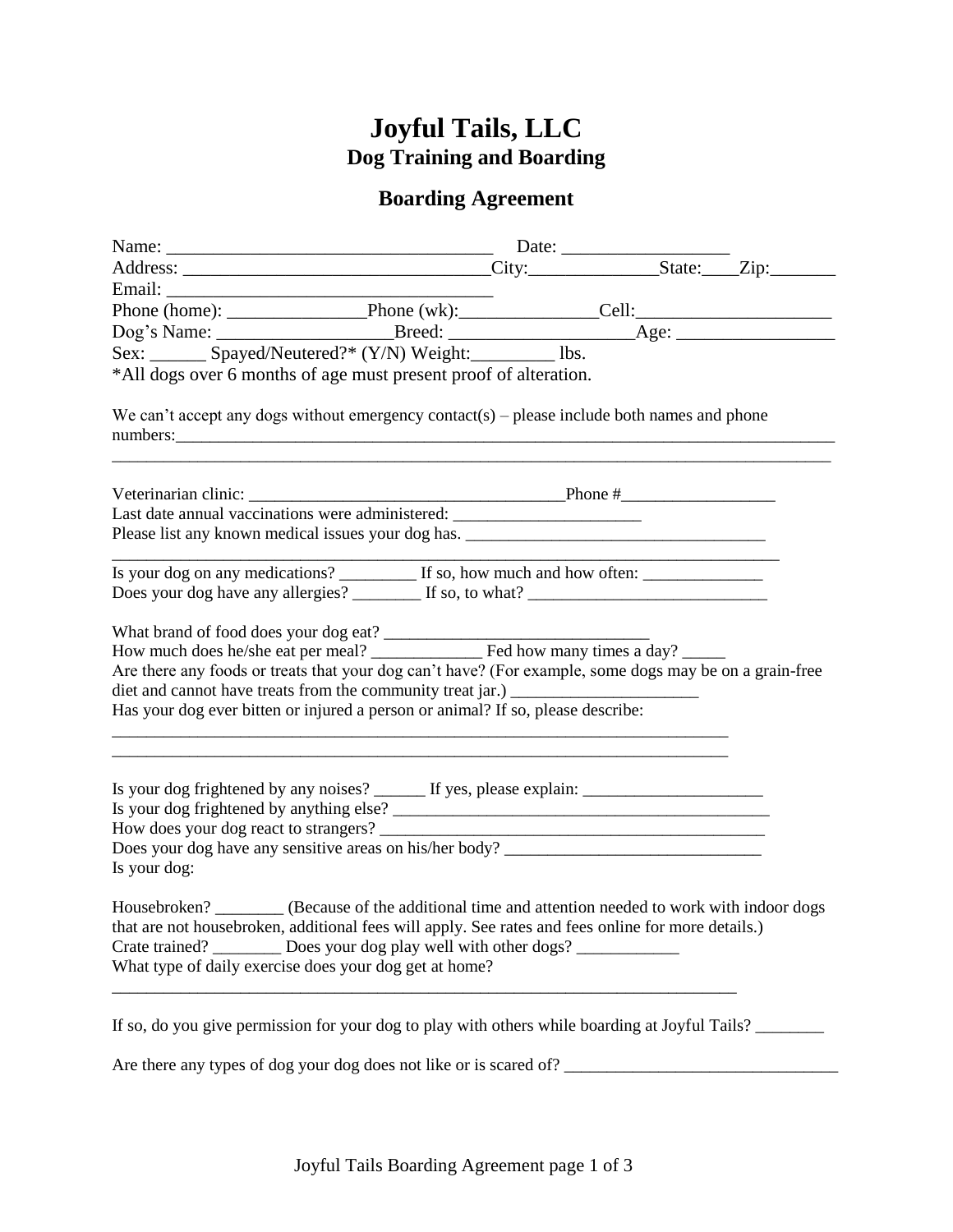# **Joyful Tails, LLC Dog Training and Boarding**

## **Boarding Agreement**

|                                                                                                                                                                                                                                                                                                                                                                                            | Date: $\_\_$ |  |  |  |
|--------------------------------------------------------------------------------------------------------------------------------------------------------------------------------------------------------------------------------------------------------------------------------------------------------------------------------------------------------------------------------------------|--------------|--|--|--|
|                                                                                                                                                                                                                                                                                                                                                                                            |              |  |  |  |
|                                                                                                                                                                                                                                                                                                                                                                                            |              |  |  |  |
| Phone (home): Phone (wk): Cell: Cell:                                                                                                                                                                                                                                                                                                                                                      |              |  |  |  |
|                                                                                                                                                                                                                                                                                                                                                                                            |              |  |  |  |
|                                                                                                                                                                                                                                                                                                                                                                                            |              |  |  |  |
| *All dogs over 6 months of age must present proof of alteration.                                                                                                                                                                                                                                                                                                                           |              |  |  |  |
| We can't accept any dogs without emergency contact(s) – please include both names and phone<br>numbers:                                                                                                                                                                                                                                                                                    |              |  |  |  |
| Last date annual vaccinations were administered: _______________________________                                                                                                                                                                                                                                                                                                           |              |  |  |  |
| Please list any known medical issues your dog has. ______________________________                                                                                                                                                                                                                                                                                                          |              |  |  |  |
| Is your dog on any medications? If so, how much and how often:                                                                                                                                                                                                                                                                                                                             |              |  |  |  |
|                                                                                                                                                                                                                                                                                                                                                                                            |              |  |  |  |
| What brand of food does your dog eat?<br>How much does he/she eat per meal?<br>The bow many times a day?<br>Are there any foods or treats that your dog can't have? (For example, some dogs may be on a grain-free<br>diet and cannot have treats from the community treat jar.) ______________________<br>Has your dog ever bitten or injured a person or animal? If so, please describe: |              |  |  |  |
| Is your dog frightened by any noises? ______ If yes, please explain: _______________________________<br>How does your dog react to strangers?<br>Is your dog:                                                                                                                                                                                                                              |              |  |  |  |
| Housebroken? ________ (Because of the additional time and attention needed to work with indoor dogs<br>that are not housebroken, additional fees will apply. See rates and fees online for more details.)<br>Crate trained? __________ Does your dog play well with other dogs? _____________<br>What type of daily exercise does your dog get at home?                                    |              |  |  |  |
| If so, do you give permission for your dog to play with others while boarding at Joyful Tails?                                                                                                                                                                                                                                                                                             |              |  |  |  |

Are there any types of dog your dog does not like or is scared of? \_\_\_\_\_\_\_\_\_\_\_\_\_\_\_\_\_\_\_\_\_\_\_\_\_\_\_\_\_\_\_\_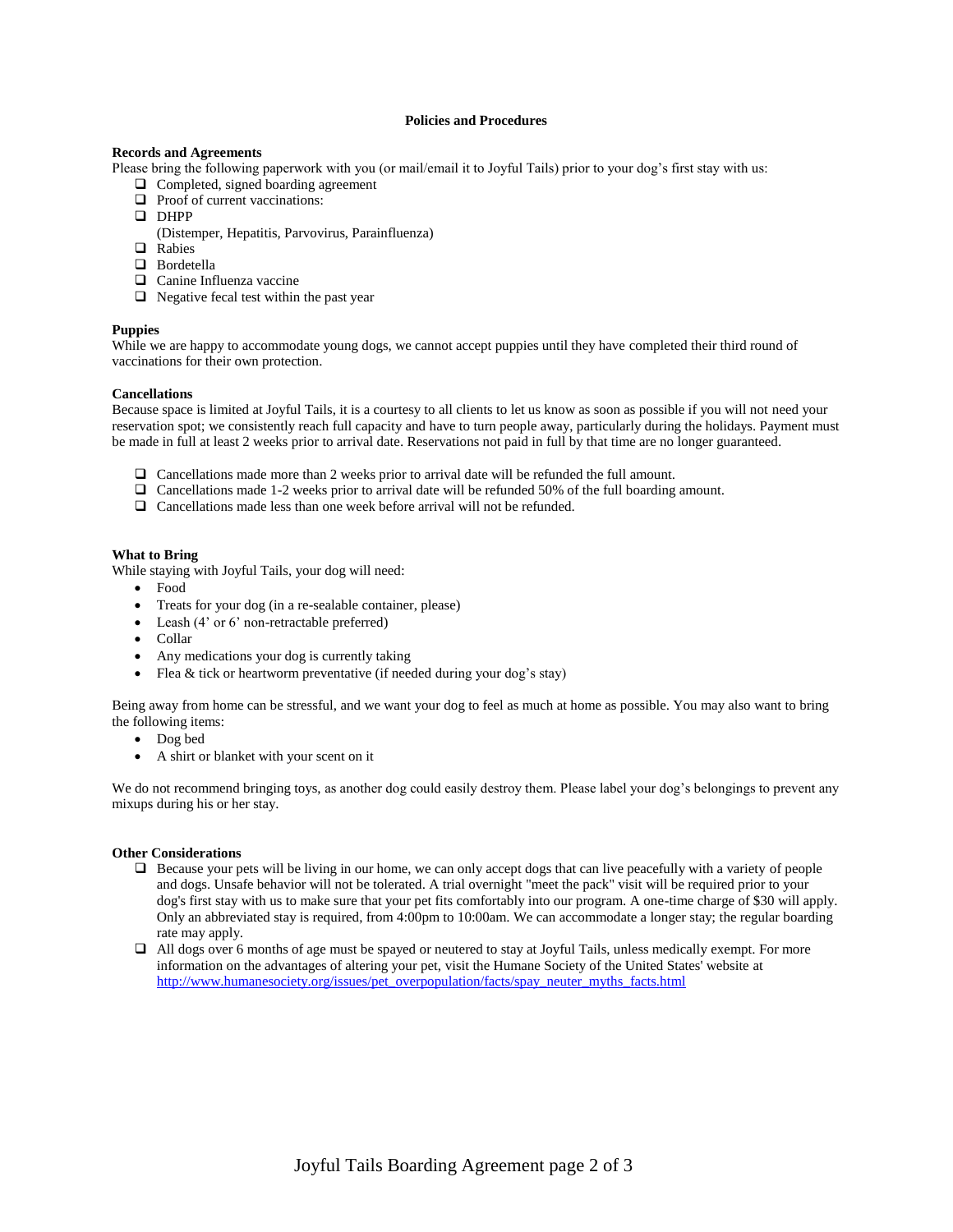#### **Policies and Procedures**

#### **Records and Agreements**

Please bring the following paperwork with you (or mail/email it to Joyful Tails) prior to your dog's first stay with us:

- $\Box$  Completed, signed boarding agreement
- $\Box$  Proof of current vaccinations:
- **DHPP**
- (Distemper, Hepatitis, Parvovirus, Parainfluenza)
- **Q** Rabies
- **D** Bordetella
- □ Canine Influenza vaccine
- $\Box$  Negative fecal test within the past year

#### **Puppies**

While we are happy to accommodate young dogs, we cannot accept puppies until they have completed their third round of vaccinations for their own protection.

#### **Cancellations**

Because space is limited at Joyful Tails, it is a courtesy to all clients to let us know as soon as possible if you will not need your reservation spot; we consistently reach full capacity and have to turn people away, particularly during the holidays. Payment must be made in full at least 2 weeks prior to arrival date. Reservations not paid in full by that time are no longer guaranteed.

- Cancellations made more than 2 weeks prior to arrival date will be refunded the full amount.
- $\Box$  Cancellations made 1-2 weeks prior to arrival date will be refunded 50% of the full boarding amount.
- $\Box$  Cancellations made less than one week before arrival will not be refunded.

#### **What to Bring**

While staying with Joyful Tails, your dog will need:

- Food
- Treats for your dog (in a re-sealable container, please)
- Leash (4' or 6' non-retractable preferred)
- Collar
- Any medications your dog is currently taking
- Flea & tick or heartworm preventative (if needed during your dog's stay)

Being away from home can be stressful, and we want your dog to feel as much at home as possible. You may also want to bring the following items:

- Dog bed
- A shirt or blanket with your scent on it

We do not recommend bringing toys, as another dog could easily destroy them. Please label your dog's belongings to prevent any mixups during his or her stay.

#### **Other Considerations**

- Because your pets will be living in our home, we can only accept dogs that can live peacefully with a variety of people and dogs. Unsafe behavior will not be tolerated. A trial overnight "meet the pack" visit will be required prior to your dog's first stay with us to make sure that your pet fits comfortably into our program. A one-time charge of \$30 will apply. Only an abbreviated stay is required, from 4:00pm to 10:00am. We can accommodate a longer stay; the regular boarding rate may apply.
- All dogs over 6 months of age must be spayed or neutered to stay at Joyful Tails, unless medically exempt. For more information on the advantages of altering your pet, [visit the Humane Society of the United States' website](http://www.humanesociety.org/issues/pet_overpopulation/facts/spay_neuter_myths_facts.html) at [http://www.humanesociety.org/issues/pet\\_overpopulation/facts/spay\\_neuter\\_myths\\_facts.html](http://www.humanesociety.org/issues/pet_overpopulation/facts/spay_neuter_myths_facts.html)